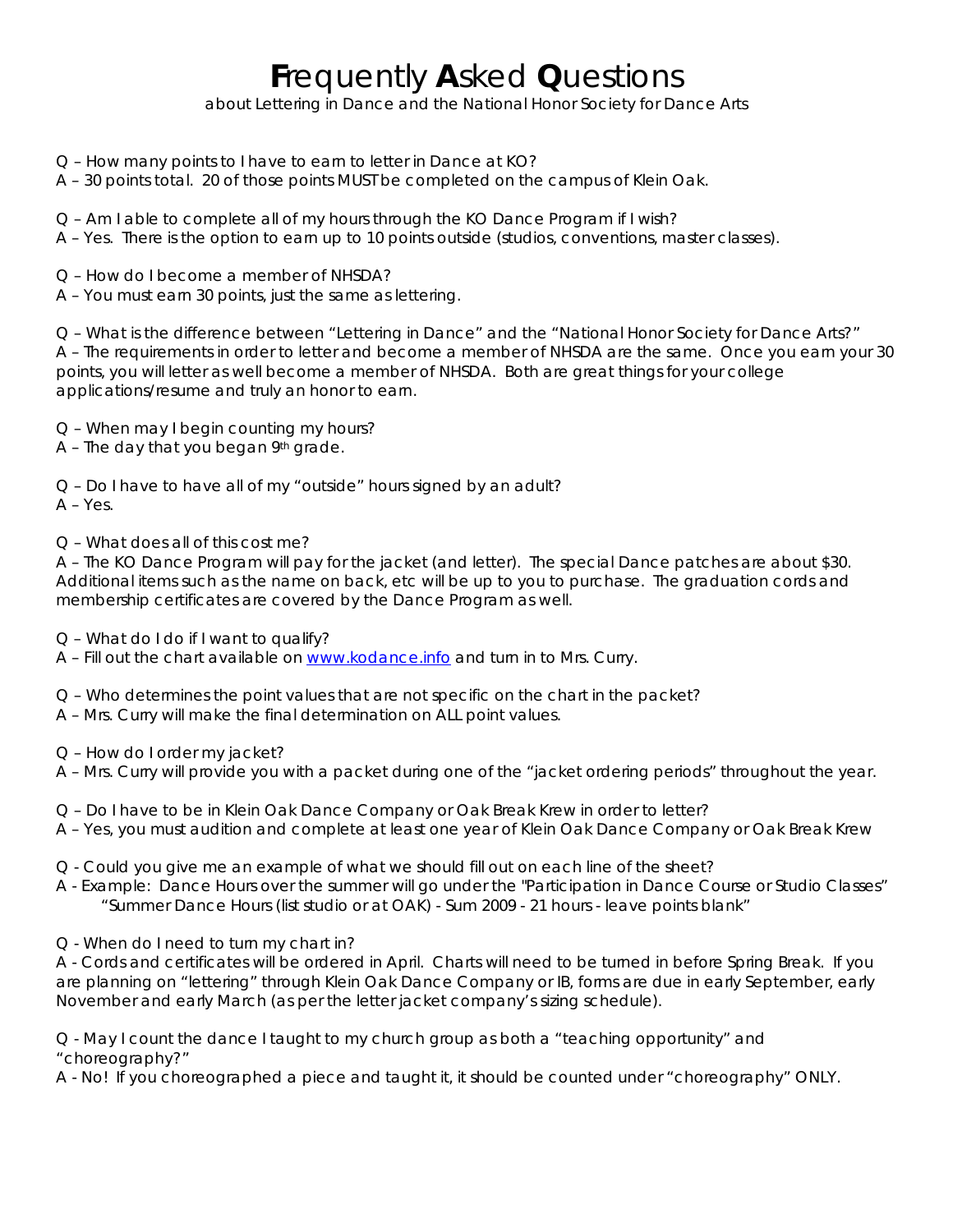## **F**requently **A**sked **Q**uestions

about *Lettering in Dance and the National Honor Society for Dance Arts*

Q – *How many points to I have to earn to letter in Dance at KO?*

A – 30 points total. 20 of those points MUST be completed on the campus of Klein Oak.

Q – *Am I able to complete all of my hours through the KO Dance Program if I wish?*

A – Yes. There is the option to earn up to 10 points outside (studios, conventions, master classes).

Q – *How do I become a member of NHSDA?*

A – You must earn 30 points, just the same as lettering.

Q – *What is the difference between "Lettering in Dance" and the "National Honor Society for Dance* Arts?" A – The requirements in order to letter and become a member of NHSDA are the same. Once you earn your 30 points, you will letter as well become a member of NHSDA. Both are great things for your college applications/resume and truly an honor to earn.

Q – *When may I begin counting my hours?*

 $A$  – The day that you began 9th grade.

Q – *Do I have to have all of my "outside" hours signed by an adult?* A – Yes.

Q – *What does all of this cost me?*

A – The KO Dance Program will pay for the jacket (and letter). The special Dance patches are about \$30. Additional items such as the name on back, etc will be up to you to purchase. The graduation cords and membership certificates are covered by the Dance Program as well.

Q – *What do I do if I want to qualify?*

A - Fill out the chart available on [www.kodance.info](http://www.kodance.info/) and turn in to Mrs. Curry.

Q – *Who determines the point values that are not specific on the chart in the packet?*

A – Mrs. Curry will make the final determination on ALL point values.

Q – *How do I order my jacket?*

A – Mrs. Curry will provide you with a packet during one of the "jacket ordering periods" throughout the year.

Q – *Do I have to be in Klein Oak Dance Company or Oak Break Krew in order to letter?*

A – Yes, you must audition and complete at least one year of Klein Oak Dance Company or Oak Break Krew

- Q Could you give me an example of what we should fill out on each line of the sheet?
- *A - Example: Dance Hours over the summer will go under the "Participation in Dance Course or Studio Classes" "Summer Dance Hours (list studio or at OAK) - Sum 2009 - 21 hours - leave points blank"*
- Q When do I need to turn my chart in?

*A - Cords and certificates will be ordered in April. Charts will need to be turned in before Spring Break. If you are planning on "lettering" through Klein Oak Dance Company or IB, forms are due in early September, early November and early March (as per the letter jacket company's sizing schedule).*

Q - May I count the dance I taught to my church group as both a "teaching opportunity" and "choreography?"

*A - No! If you choreographed a piece and taught it, it should be counted under "choreography" ONLY.*